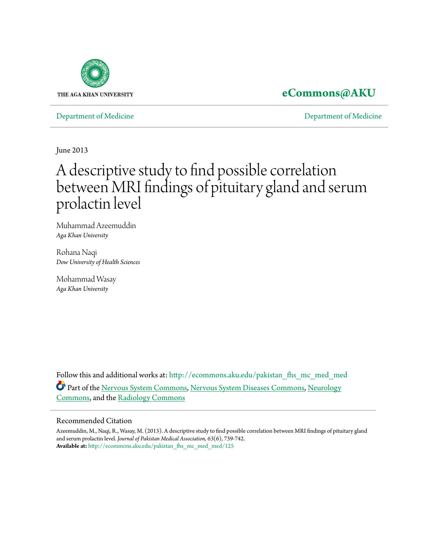

# **[eCommons@AKU](http://ecommons.aku.edu?utm_source=ecommons.aku.edu%2Fpakistan_fhs_mc_med_med%2F125&utm_medium=PDF&utm_campaign=PDFCoverPages)**

[Department of Medicine](http://ecommons.aku.edu/pakistan_fhs_mc_med_med?utm_source=ecommons.aku.edu%2Fpakistan_fhs_mc_med_med%2F125&utm_medium=PDF&utm_campaign=PDFCoverPages) [Department of Medicine](http://ecommons.aku.edu/pakistan_fhs_mc_med?utm_source=ecommons.aku.edu%2Fpakistan_fhs_mc_med_med%2F125&utm_medium=PDF&utm_campaign=PDFCoverPages)

June 2013

# A descriptive study to find possible correlation between MRI findings of pituitary gland and serum prolactin level

Muhammad Azeemuddin *Aga Khan University*

Rohana Naqi *Dow University of Health Sciences*

Mohammad Wasay *Aga Khan University*

Follow this and additional works at: [http://ecommons.aku.edu/pakistan\\_fhs\\_mc\\_med\\_med](http://ecommons.aku.edu/pakistan_fhs_mc_med_med?utm_source=ecommons.aku.edu%2Fpakistan_fhs_mc_med_med%2F125&utm_medium=PDF&utm_campaign=PDFCoverPages) Part of the [Nervous System Commons,](http://network.bepress.com/hgg/discipline/949?utm_source=ecommons.aku.edu%2Fpakistan_fhs_mc_med_med%2F125&utm_medium=PDF&utm_campaign=PDFCoverPages) [Nervous System Diseases Commons,](http://network.bepress.com/hgg/discipline/928?utm_source=ecommons.aku.edu%2Fpakistan_fhs_mc_med_med%2F125&utm_medium=PDF&utm_campaign=PDFCoverPages) [Neurology](http://network.bepress.com/hgg/discipline/692?utm_source=ecommons.aku.edu%2Fpakistan_fhs_mc_med_med%2F125&utm_medium=PDF&utm_campaign=PDFCoverPages) [Commons,](http://network.bepress.com/hgg/discipline/692?utm_source=ecommons.aku.edu%2Fpakistan_fhs_mc_med_med%2F125&utm_medium=PDF&utm_campaign=PDFCoverPages) and the [Radiology Commons](http://network.bepress.com/hgg/discipline/705?utm_source=ecommons.aku.edu%2Fpakistan_fhs_mc_med_med%2F125&utm_medium=PDF&utm_campaign=PDFCoverPages)

#### Recommended Citation

Azeemuddin, M., Naqi, R., Wasay, M. (2013). A descriptive study to find possible correlation between MRI findings of pituitary gland and serum prolactin level. *Journal of Pakistan Medical Association, 63*(6), 739-742. **Available at:** [http://ecommons.aku.edu/pakistan\\_fhs\\_mc\\_med\\_med/125](http://ecommons.aku.edu/pakistan_fhs_mc_med_med/125)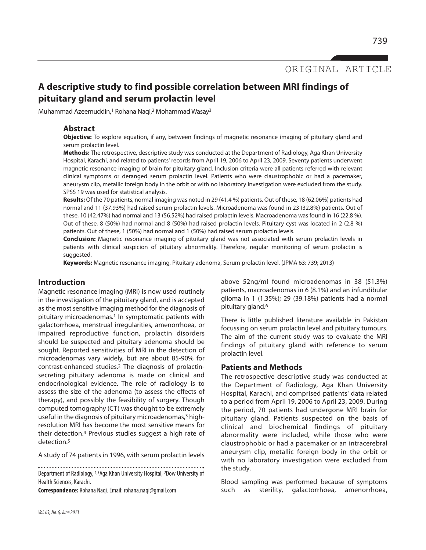ORIGINAL ARTICLE

## **A descriptive study to find possible correlation between MRI findings of pituitary gland and serum prolactin level**

Muhammad Azeemuddin,<sup>1</sup> Rohana Naqi,<sup>2</sup> Mohammad Wasay<sup>3</sup>

#### **Abstract**

**Objective:** To explore equation, if any, between findings of magnetic resonance imaging of pituitary gland and serum prolactin level.

**Methods:** The retrospective, descriptive study was conducted at the Department of Radiology, Aga Khan University Hospital, Karachi, and related to patients' records from April 19, 2006 to April 23, 2009. Seventy patients underwent magnetic resonance imaging of brain for pituitary gland. Inclusion criteria were all patients referred with relevant clinical symptoms or deranged serum prolactin level. Patients who were claustrophobic or had a pacemaker, aneurysm clip, metallic foreign body in the orbit or with no laboratory investigation were excluded from the study. SPSS 19 was used for statistical analysis.

**Results:** Of the 70 patients, normal imaging was noted in 29 (41.4 %) patients. Out of these, 18 (62.06%) patients had normal and 11 (37.93%) had raised serum prolactin levels. Microadenoma was found in 23 (32.8%) patients. Out of these, 10 (42.47%) had normal and 13 (56.52%) had raised prolactin levels. Macroadenoma was found in 16 (22.8 %). Out of these, 8 (50%) had normal and 8 (50%) had raised prolactin levels. Pituitary cyst was located in 2 (2.8 %) patients. Out of these, 1 (50%) had normal and 1 (50%) had raised serum prolactin levels.

**Conclusion:** Magnetic resonance imaging of pituitary gland was not associated with serum prolactin levels in patients with clinical suspicion of pituitary abnormality. Therefore, regular monitoring of serum prolactin is suggested.

**Keywords:** Magnetic resonance imaging, Pituitary adenoma, Serum prolactin level. (JPMA 63: 739; 2013)

#### **Introduction**

Magnetic resonance imaging (MRI) is now used routinely in the investigation of the pituitary gland, and is accepted as the most sensitive imaging method for the diagnosis of pituitary microadenomas.<sup>1</sup> In symptomatic patients with galactorrhoea, menstrual irregularities, amenorrhoea, or impaired reproductive function, prolactin disorders should be suspected and pituitary adenoma should be sought. Reported sensitivities of MRI in the detection of microadenomas vary widely, but are about 85-90% for contrast-enhanced studies.<sup>2</sup> The diagnosis of prolactinsecreting pituitary adenoma is made on clinical and endocrinological evidence. The role of radiology is to assess the size of the adenoma (to assess the effects of therapy), and possibly the feasibility of surgery. Though computed tomography (CT) was thought to be extremely useful in the diagnosis of pituitary microadenomas,<sup>3</sup> highresolution MRI has become the most sensitive means for their detection.<sup>4</sup> Previous studies suggest a high rate of detection.<sup>5</sup>

A study of 74 patients in 1996, with serum prolactin levels

Department of Radiology, 1,3Aga Khan University Hospital, 2Dow University of Health Sciences, Karachi.

**Correspondence:** Rohana Naqi. Email: rohana.naqi@gmail.com

above 52ng/ml found microadenomas in 38 (51.3%) patients, macroadenomas in 6 (8.1%) and an infundibular glioma in 1 (1.35%); 29 (39.18%) patients had a normal pituitary gland.<sup>6</sup>

There is little published literature available in Pakistan focussing on serum prolactin level and pituitary tumours. The aim of the current study was to evaluate the MRI findings of pituitary gland with reference to serum prolactin level.

#### **Patients and Methods**

The retrospective descriptive study was conducted at the Department of Radiology, Aga Khan University Hospital, Karachi, and comprised patients' data related to a period from April 19, 2006 to April 23, 2009. During the period, 70 patients had undergone MRI brain for pituitary gland. Patients suspected on the basis of clinical and biochemical findings of pituitary abnormality were included, while those who were claustrophobic or had a pacemaker or an intracerebral aneurysm clip, metallic foreign body in the orbit or with no laboratory investigation were excluded from the study.

Blood sampling was performed because of symptoms such as sterility, galactorrhoea, amenorrhoea,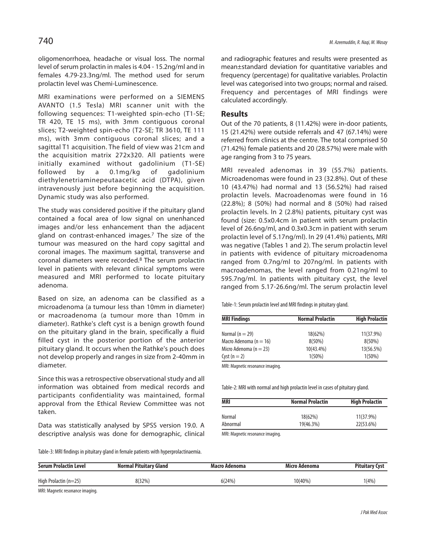oligomenorrhoea, headache or visual loss. The normal level of serum prolactin in males is 4.04 - 15.2ng/ml and in females 4.79-23.3ng/ml. The method used for serum prolactin level was Chemi-Luminescence.

MRI examinations were performed on a SIEMENS AVANTO (1.5 Tesla) MRI scanner unit with the following sequences: T1-weighted spin-echo (T1-SE; TR 420, TE 15 ms), with 3mm contiguous coronal slices; T2-weighted spin-echo (T2-SE; TR 3610, TE 111 ms), with 3mm contiguous coronal slices; and a sagittal T1 acquisition. The field of view was 21cm and the acquisition matrix 272x320. All patients were initially examined without gadolinium (T1-SE) followed by a 0.1mg/kg of gadolinium diethylenetriaminepeutaacetic acid (DTPA), given intravenously just before beginning the acquisition. Dynamic study was also performed.

The study was considered positive if the pituitary gland contained a focal area of low signal on unenhanced images and/or less enhancement than the adjacent gland on contrast-enhanced images.<sup>7</sup> The size of the tumour was measured on the hard copy sagittal and coronal images. The maximum sagittal, transverse and coronal diameters were recorded.<sup>8</sup> The serum prolactin level in patients with relevant clinical symptoms were measured and MRI performed to locate pituitary adenoma.

Based on size, an adenoma can be classified as a microadenoma (a tumour less than 10mm in diameter) or macroadenoma (a tumour more than 10mm in diameter). Rathke's cleft cyst is a benign growth found on the pituitary gland in the brain, specifically a fluid filled cyst in the posterior portion of the anterior pituitary gland. It occurs when the Rathke's pouch does not develop properly and ranges in size from 2-40mm in diameter.

Since this was a retrospective observational study and all information was obtained from medical records and participants confidentiality was maintained, formal approval from the Ethical Review Committee was not taken.

Data was statistically analysed by SPSS version 19.0. A descriptive analysis was done for demographic, clinical and radiographic features and results were presented as mean±standard deviation for quantitative variables and frequency (percentage) for qualitative variables. Prolactin level was categorised into two groups; normal and raised. Frequency and percentages of MRI findings were calculated accordingly.

#### **Results**

Out of the 70 patients, 8 (11.42%) were in-door patients, 15 (21.42%) were outside referrals and 47 (67.14%) were referred from clinics at the centre. The total comprised 50 (71.42%) female patients and 20 (28.57%) were male with age ranging from 3 to 75 years.

MRI revealed adenomas in 39 (55.7%) patients. Microadenomas were found in 23 (32.8%). Out of these 10 (43.47%) had normal and 13 (56.52%) had raised prolactin levels. Macroadenomas were found in 16 (22.8%); 8 (50%) had normal and 8 (50%) had raised prolactin levels. In 2 (2.8%) patients, pituitary cyst was found (size: 0.5x0.4cm in patient with serum prolactin level of 26.6ng/ml, and 0.3x0.3cm in patient with serum prolactin level of 5.17ng/ml). In 29 (41.4%) patients, MRI was negative (Tables 1 and 2). The serum prolactin level in patients with evidence of pituitary microadenoma ranged from 0.7ng/ml to 207ng/ml. In patients with macroadenomas, the level ranged from 0.21ng/ml to 595.7ng/ml. In patients with pituitary cyst, the level ranged from 5.17-26.6ng/ml. The serum prolactin level

Table-1: Serum prolactin level and MRI findings in pituitary gland.

| <b>MRI Findings</b>        | <b>Normal Prolactin</b> | <b>High Prolactin</b> |  |
|----------------------------|-------------------------|-----------------------|--|
| Normal $(n = 29)$          | 18(62%)                 | 11(37.9%)             |  |
| Macro Adenoma ( $n = 16$ ) | $8(50\%)$               | $8(50\%)$             |  |
| Micro Adenoma ( $n = 23$ ) | $10(43.4\%)$            | 13(56.5%)             |  |
| Cyst $(n = 2)$             | $1(50\%)$               | $1(50\%)$             |  |

MRI: Magnetic resonance imaging.

Table-2: MRI with normal and high prolactin level in cases of pituitary gland.

| <b>MRI</b> | <b>Normal Prolactin</b> | <b>High Prolactin</b> |  |
|------------|-------------------------|-----------------------|--|
| Normal     | 18(62%)                 | 11(37.9%)             |  |
| Abnormal   | 19(46.3%)               | 22(53.6%)             |  |

MRI: Magnetic resonance imaging.

Table-3: MRI findings in pituitary gland in female patients with hyperprolactinaemia.

| <b>Serum Prolactin Level</b>     | <b>Normal Pituitary Gland</b> | Macro Adenoma | Micro Adenoma | <b>Pituitary Cyst</b> |
|----------------------------------|-------------------------------|---------------|---------------|-----------------------|
| High Prolactin $(n=25)$          | 8(32%)                        | 6(24%)        | $10(40\%)$    | 1(4%)                 |
| MRI: Magnetic resonance imaging. |                               |               |               |                       |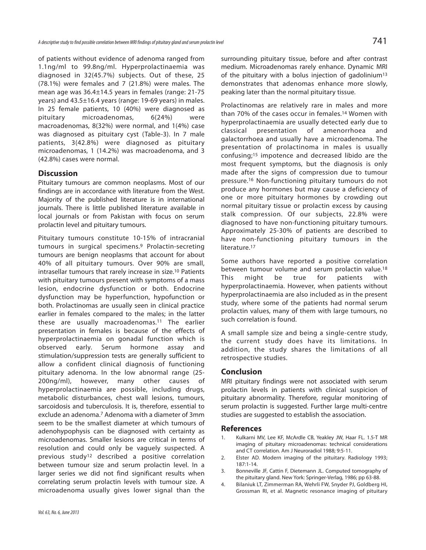of patients without evidence of adenoma ranged from 1.1ng/ml to 99.8ng/ml. Hyperprolactinaemia was diagnosed in 32(45.7%) subjects. Out of these, 25 (78.1%) were females and 7 (21.8%) were males. The mean age was 36.4±14.5 years in females (range: 21-75 years) and 43.5±16.4 years (range: 19-69 years) in males. In 25 female patients, 10 (40%) were diagnosed as pituitary microadenomas, 6(24%) were macroadenomas, 8(32%) were normal, and 1(4%) case was diagnosed as pituitary cyst (Table-3). In 7 male patients, 3(42.8%) were diagnosed as pituitary microadenomas, 1 (14.2%) was macroadenoma, and 3 (42.8%) cases were normal.

### **Discussion**

Pituitary tumours are common neoplasms. Most of our findings are in accordance with literature from the West. Majority of the published literature is in international journals. There is little published literature available in local journals or from Pakistan with focus on serum prolactin level and pituitary tumours.

Pituitary tumours constitute 10-15% of intracranial tumours in surgical specimens.<sup>9</sup> Prolactin-secreting tumours are benign neoplasms that account for about 40% of all pituitary tumours. Over 90% are small, intrasellar tumours that rarely increase in size.<sup>10</sup> Patients with pituitary tumours present with symptoms of a mass lesion, endocrine dysfunction or both. Endocrine dysfunction may be hyperfunction, hypofunction or both. Prolactinomas are usually seen in clinical practice earlier in females compared to the males; in the latter these are usually macroadenomas.<sup>11</sup> The earlier presentation in females is because of the effects of hyperprolactinaemia on gonadal function which is observed early. Serum hormone assay and stimulation/suppression tests are generally sufficient to allow a confident clinical diagnosis of functioning pituitary adenoma. In the low abnormal range (25- 200ng/ml), however, many other causes of hyperprolactinaemia are possible, including drugs, metabolic disturbances, chest wall lesions, tumours, sarcoidosis and tuberculosis. It is, therefore, essential to exclude an adenoma.<sup>7</sup> Adenoma with a diameter of 3mm seem to be the smallest diameter at which tumours of adenohypophysis can be diagnosed with certainty as microadenomas. Smaller lesions are critical in terms of resolution and could only be vaguely suspected. A previous study<sup>12</sup> described a positive correlation between tumour size and serum prolactin level. In a larger series we did not find significant results when correlating serum prolactin levels with tumour size. A microadenoma usually gives lower signal than the surrounding pituitary tissue, before and after contrast medium. Microadenomas rarely enhance. Dynamic MRI of the pituitary with a bolus injection of gadolinium<sup>13</sup> demonstrates that adenomas enhance more slowly, peaking later than the normal pituitary tissue.

Prolactinomas are relatively rare in males and more than 70% of the cases occur in females.<sup>14</sup> Women with hyperprolactinaemia are usually detected early due to classical presentation of amenorrhoea and galactorrhoea and usually have a microadenoma. The presentation of prolactinoma in males is usually confusing;<sup>15</sup> impotence and decreased libido are the most frequent symptoms, but the diagnosis is only made after the signs of compression due to tumour pressure.<sup>16</sup> Non-functioning pituitary tumours do not produce any hormones but may cause a deficiency of one or more pituitary hormones by crowding out normal pituitary tissue or prolactin excess by causing stalk compression. Of our subjects, 22.8% were diagnosed to have non-functioning pituitary tumours. Approximately 25-30% of patients are described to have non-functioning pituitary tumours in the literature.<sup>17</sup>

Some authors have reported a positive correlation between tumour volume and serum prolactin value.<sup>18</sup> This might be true for patients with hyperprolactinaemia. However, when patients without hyperprolactinaemia are also included as in the present study, where some of the patients had normal serum prolactin values, many of them with large tumours, no such correlation is found.

A small sample size and being a single-centre study, the current study does have its limitations. In addition, the study shares the limitations of all retrospective studies.

#### **Conclusion**

MRI pituitary findings were not associated with serum prolactin levels in patients with clinical suspicion of pituitary abnormality. Therefore, regular monitoring of serum prolactin is suggested. Further large multi-centre studies are suggested to establish the association.

#### **References**

- 1. Kulkarni MV, Lee KF, McArdle CB, Yeakley JW, Haar FL. 1.5-T MR imaging of pituitary microadenomas: technical considerations and CT correlation. Am J Neuroradiol 1988; 9:5-11.
- 2. Elster AD. Modern imaging of the pituitary. Radiology 1993; 187:1-14.
- 3. Bonneville JF, Cattin F, Dietemann JL. Computed tomography of the pituitary gland. New York: Springer-Verlag, 1986; pp 63-88.
- 4. Bilaniuk LT, Zimmerman RA, Wehrli FW, Snyder PJ, Goldberg HI, Grossman RI, et al. Magnetic resonance imaging of pituitary